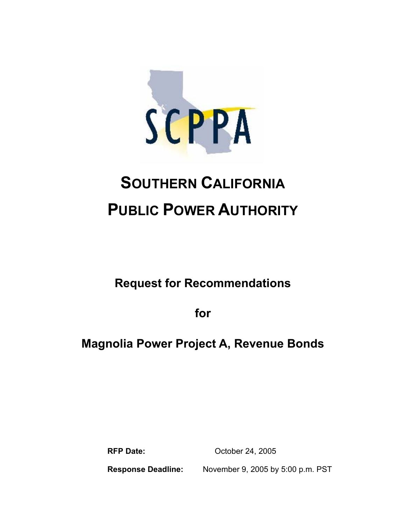

# **SOUTHERN CALIFORNIA PUBLIC POWER AUTHORITY**

**Request for Recommendations** 

**for** 

# **Magnolia Power Project A, Revenue Bonds**

**RFP Date:** October 24, 2005

**Response Deadline:** November 9, 2005 by 5:00 p.m. PST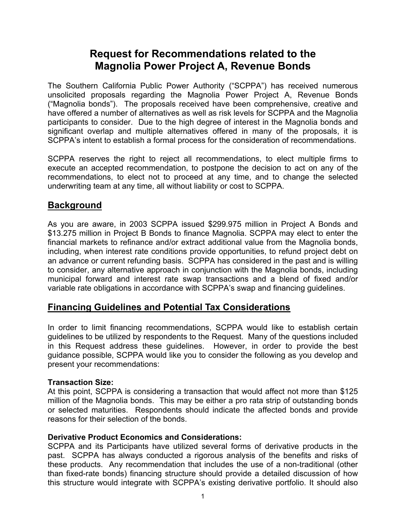# **Request for Recommendations related to the Magnolia Power Project A, Revenue Bonds**

The Southern California Public Power Authority ("SCPPA") has received numerous unsolicited proposals regarding the Magnolia Power Project A, Revenue Bonds ("Magnolia bonds"). The proposals received have been comprehensive, creative and have offered a number of alternatives as well as risk levels for SCPPA and the Magnolia participants to consider. Due to the high degree of interest in the Magnolia bonds and significant overlap and multiple alternatives offered in many of the proposals, it is SCPPA's intent to establish a formal process for the consideration of recommendations.

SCPPA reserves the right to reject all recommendations, to elect multiple firms to execute an accepted recommendation, to postpone the decision to act on any of the recommendations, to elect not to proceed at any time, and to change the selected underwriting team at any time, all without liability or cost to SCPPA.

## **Background**

As you are aware, in 2003 SCPPA issued \$299.975 million in Project A Bonds and \$13.275 million in Project B Bonds to finance Magnolia. SCPPA may elect to enter the financial markets to refinance and/or extract additional value from the Magnolia bonds, including, when interest rate conditions provide opportunities, to refund project debt on an advance or current refunding basis. SCPPA has considered in the past and is willing to consider, any alternative approach in conjunction with the Magnolia bonds, including municipal forward and interest rate swap transactions and a blend of fixed and/or variable rate obligations in accordance with SCPPA's swap and financing guidelines.

#### **Financing Guidelines and Potential Tax Considerations**

In order to limit financing recommendations, SCPPA would like to establish certain guidelines to be utilized by respondents to the Request. Many of the questions included in this Request address these guidelines. However, in order to provide the best guidance possible, SCPPA would like you to consider the following as you develop and present your recommendations:

#### **Transaction Size:**

At this point, SCPPA is considering a transaction that would affect not more than \$125 million of the Magnolia bonds. This may be either a pro rata strip of outstanding bonds or selected maturities. Respondents should indicate the affected bonds and provide reasons for their selection of the bonds.

#### **Derivative Product Economics and Considerations:**

SCPPA and its Participants have utilized several forms of derivative products in the past. SCPPA has always conducted a rigorous analysis of the benefits and risks of these products. Any recommendation that includes the use of a non-traditional (other than fixed-rate bonds) financing structure should provide a detailed discussion of how this structure would integrate with SCPPA's existing derivative portfolio. It should also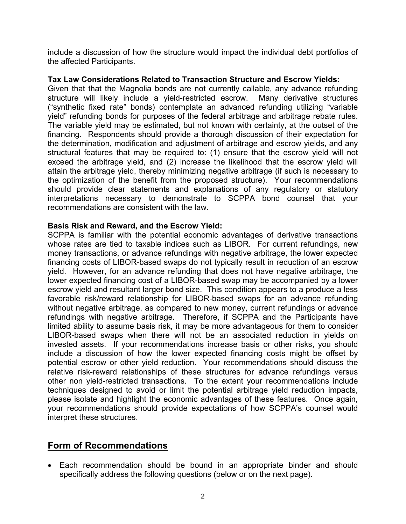include a discussion of how the structure would impact the individual debt portfolios of the affected Participants.

#### **Tax Law Considerations Related to Transaction Structure and Escrow Yields:**

Given that that the Magnolia bonds are not currently callable, any advance refunding structure will likely include a yield-restricted escrow. Many derivative structures ("synthetic fixed rate" bonds) contemplate an advanced refunding utilizing "variable yield" refunding bonds for purposes of the federal arbitrage and arbitrage rebate rules. The variable yield may be estimated, but not known with certainty, at the outset of the financing. Respondents should provide a thorough discussion of their expectation for the determination, modification and adjustment of arbitrage and escrow yields, and any structural features that may be required to: (1) ensure that the escrow yield will not exceed the arbitrage yield, and (2) increase the likelihood that the escrow yield will attain the arbitrage yield, thereby minimizing negative arbitrage (if such is necessary to the optimization of the benefit from the proposed structure). Your recommendations should provide clear statements and explanations of any regulatory or statutory interpretations necessary to demonstrate to SCPPA bond counsel that your recommendations are consistent with the law.

#### **Basis Risk and Reward, and the Escrow Yield:**

SCPPA is familiar with the potential economic advantages of derivative transactions whose rates are tied to taxable indices such as LIBOR. For current refundings, new money transactions, or advance refundings with negative arbitrage, the lower expected financing costs of LIBOR-based swaps do not typically result in reduction of an escrow yield. However, for an advance refunding that does not have negative arbitrage, the lower expected financing cost of a LIBOR-based swap may be accompanied by a lower escrow yield and resultant larger bond size. This condition appears to a produce a less favorable risk/reward relationship for LIBOR-based swaps for an advance refunding without negative arbitrage, as compared to new money, current refundings or advance refundings with negative arbitrage. Therefore, if SCPPA and the Participants have limited ability to assume basis risk, it may be more advantageous for them to consider LIBOR-based swaps when there will not be an associated reduction in yields on invested assets. If your recommendations increase basis or other risks, you should include a discussion of how the lower expected financing costs might be offset by potential escrow or other yield reduction. Your recommendations should discuss the relative risk-reward relationships of these structures for advance refundings versus other non yield-restricted transactions. To the extent your recommendations include techniques designed to avoid or limit the potential arbitrage yield reduction impacts, please isolate and highlight the economic advantages of these features. Once again, your recommendations should provide expectations of how SCPPA's counsel would interpret these structures.

# **Form of Recommendations**

• Each recommendation should be bound in an appropriate binder and should specifically address the following questions (below or on the next page).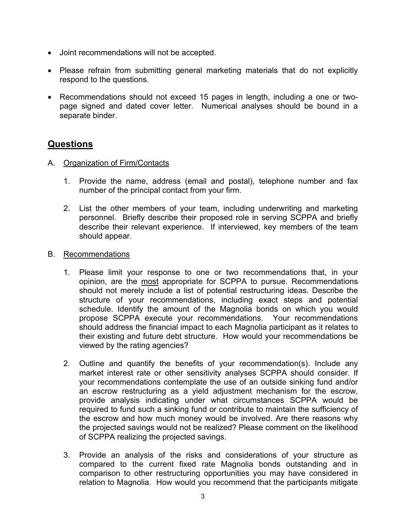- Joint recommendations will not be accepted.
- Please refrain from submitting general marketing materials that do not explicitly respond to the questions.
- Recommendations should not exceed 15 pages in length, including a one or twopage signed and dated cover letter. Numerical analyses should be bound in a separate binder.

## **Questions**

- A. Organization of Firm/Contacts
	- 1. Provide the name, address (email and postal), telephone number and fax number of the principal contact from your firm.
	- 2. List the other members of your team, including underwriting and marketing personnel. Briefly describe their proposed role in serving SCPPA and briefly describe their relevant experience. If interviewed, key members of the team should appear.
- B. Recommendations
	- 1. Please limit your response to one or two recommendations that, in your opinion, are the most appropriate for SCPPA to pursue. Recommendations should not merely include a list of potential restructuring ideas. Describe the structure of your recommendations, including exact steps and potential schedule. Identify the amount of the Magnolia bonds on which you would propose SCPPA execute your recommendations. Your recommendations should address the financial impact to each Magnolia participant as it relates to their existing and future debt structure. How would your recommendations be viewed by the rating agencies?
	- 2. Outline and quantify the benefits of your recommendation(s). Include any market interest rate or other sensitivity analyses SCPPA should consider. If your recommendations contemplate the use of an outside sinking fund and/or an escrow restructuring as a yield adjustment mechanism for the escrow, provide analysis indicating under what circumstances SCPPA would be required to fund such a sinking fund or contribute to maintain the sufficiency of the escrow and how much money would be involved. Are there reasons why the projected savings would not be realized? Please comment on the likelihood of SCPPA realizing the projected savings.
	- 3. Provide an analysis of the risks and considerations of your structure as compared to the current fixed rate Magnolia bonds outstanding and in comparison to other restructuring opportunities you may have considered in relation to Magnolia. How would you recommend that the participants mitigate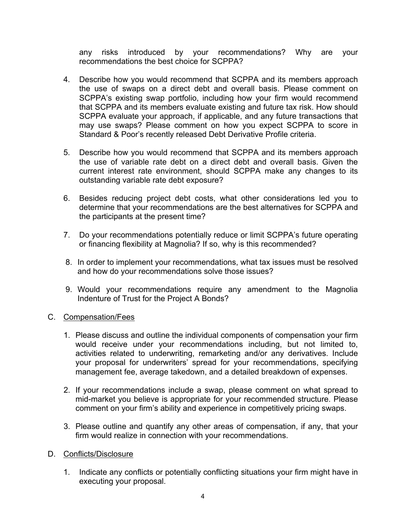any risks introduced by your recommendations? Why are your recommendations the best choice for SCPPA?

- 4. Describe how you would recommend that SCPPA and its members approach the use of swaps on a direct debt and overall basis. Please comment on SCPPA's existing swap portfolio, including how your firm would recommend that SCPPA and its members evaluate existing and future tax risk. How should SCPPA evaluate your approach, if applicable, and any future transactions that may use swaps? Please comment on how you expect SCPPA to score in Standard & Poor's recently released Debt Derivative Profile criteria.
- 5. Describe how you would recommend that SCPPA and its members approach the use of variable rate debt on a direct debt and overall basis. Given the current interest rate environment, should SCPPA make any changes to its outstanding variable rate debt exposure?
- 6. Besides reducing project debt costs, what other considerations led you to determine that your recommendations are the best alternatives for SCPPA and the participants at the present time?
- 7. Do your recommendations potentially reduce or limit SCPPA's future operating or financing flexibility at Magnolia? If so, why is this recommended?
- 8. In order to implement your recommendations, what tax issues must be resolved and how do your recommendations solve those issues?
- 9. Would your recommendations require any amendment to the Magnolia Indenture of Trust for the Project A Bonds?

#### C. Compensation/Fees

- 1. Please discuss and outline the individual components of compensation your firm would receive under your recommendations including, but not limited to, activities related to underwriting, remarketing and/or any derivatives. Include your proposal for underwriters' spread for your recommendations, specifying management fee, average takedown, and a detailed breakdown of expenses.
- 2. If your recommendations include a swap, please comment on what spread to mid-market you believe is appropriate for your recommended structure. Please comment on your firm's ability and experience in competitively pricing swaps.
- 3. Please outline and quantify any other areas of compensation, if any, that your firm would realize in connection with your recommendations.

#### D. Conflicts/Disclosure

1. Indicate any conflicts or potentially conflicting situations your firm might have in executing your proposal.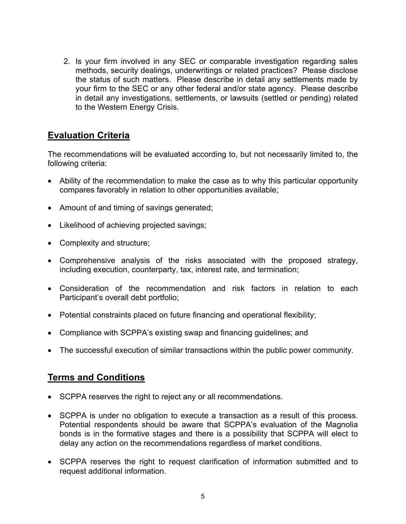2. Is your firm involved in any SEC or comparable investigation regarding sales methods, security dealings, underwritings or related practices? Please disclose the status of such matters. Please describe in detail any settlements made by your firm to the SEC or any other federal and/or state agency. Please describe in detail any investigations, settlements, or lawsuits (settled or pending) related to the Western Energy Crisis.

# **Evaluation Criteria**

The recommendations will be evaluated according to, but not necessarily limited to, the following criteria:

- Ability of the recommendation to make the case as to why this particular opportunity compares favorably in relation to other opportunities available;
- Amount of and timing of savings generated;
- Likelihood of achieving projected savings;
- Complexity and structure;
- Comprehensive analysis of the risks associated with the proposed strategy, including execution, counterparty, tax, interest rate, and termination;
- Consideration of the recommendation and risk factors in relation to each Participant's overall debt portfolio;
- Potential constraints placed on future financing and operational flexibility;
- Compliance with SCPPA's existing swap and financing guidelines; and
- The successful execution of similar transactions within the public power community.

# **Terms and Conditions**

- SCPPA reserves the right to reject any or all recommendations.
- SCPPA is under no obligation to execute a transaction as a result of this process. Potential respondents should be aware that SCPPA's evaluation of the Magnolia bonds is in the formative stages and there is a possibility that SCPPA will elect to delay any action on the recommendations regardless of market conditions.
- SCPPA reserves the right to request clarification of information submitted and to request additional information.